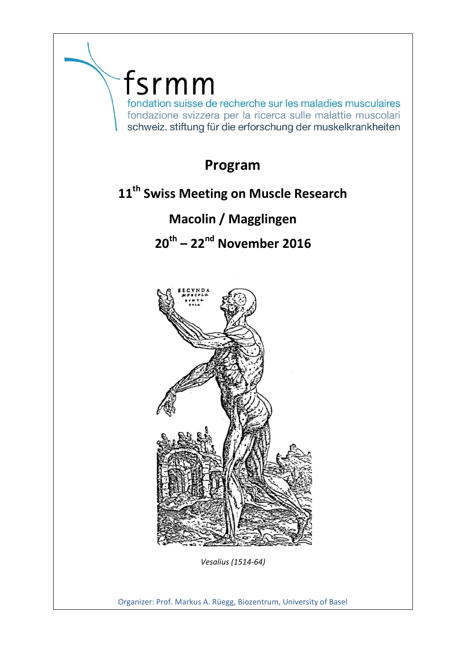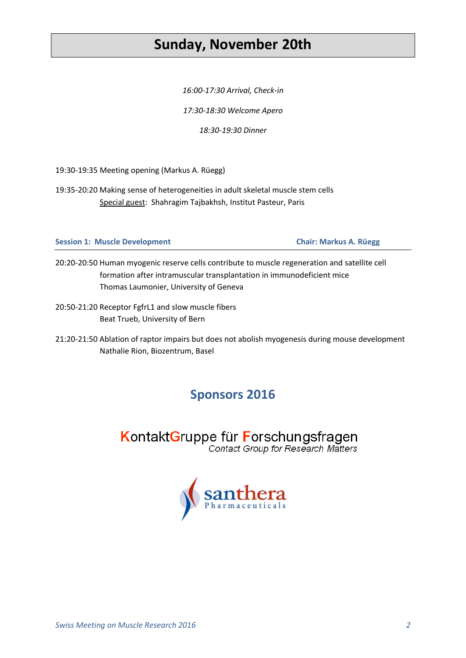## **Sunday, November 20th**

*16:00-17:30 Arrival, Check-in*

*17:30-18:30 Welcome Apero*

*18:30-19:30 Dinner*

19:30-19:35 Meeting opening (Markus A. Rüegg)

19:35-20:20 Making sense of heterogeneities in adult skeletal muscle stem cells Special guest: Shahragim Tajbakhsh, Institut Pasteur, Paris

### **Session 1: Muscle Development Chair: Markus A. Rüegg**

- 20:20-20:50 Human myogenic reserve cells contribute to muscle regeneration and satellite cell formation after intramuscular transplantation in immunodeficient mice Thomas Laumonier, University of Geneva
- 20:50-21:20 Receptor FgfrL1 and slow muscle fibers Beat Trueb, University of Bern

21:20-21:50 Ablation of raptor impairs but does not abolish myogenesis during mouse development Nathalie Rion, Biozentrum, Basel

## **Sponsors 2016**

KontaktGruppe für Forschungsfragen Contact Group for Research Matters

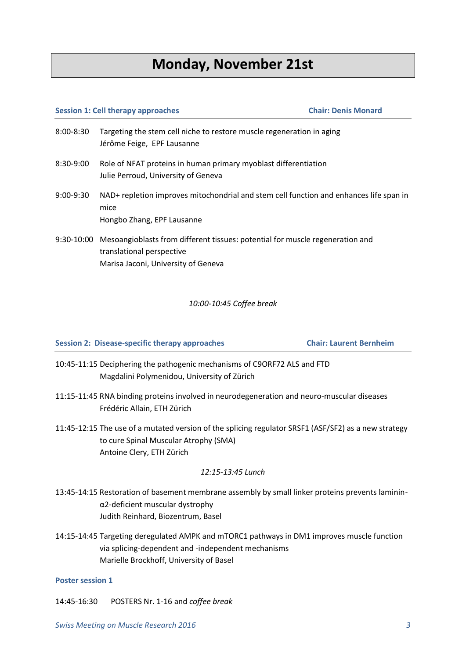## **Monday, November 21st**

## **Session 1: Cell therapy approaches Chair: Denis Monard** 8:00-8:30 Targeting the stem cell niche to restore muscle regeneration in aging Jérôme Feige, EPF Lausanne 8:30-9:00 Role of NFAT proteins in human primary myoblast differentiation Julie Perroud, University of Geneva 9:00-9:30 NAD+ repletion improves mitochondrial and stem cell function and enhances life span in mice Hongbo Zhang, EPF Lausanne 9:30-10:00 Mesoangioblasts from different tissues: potential for muscle regeneration and translational perspective Marisa Jaconi, University of Geneva

### *10:00-10:45 Coffee break*

**Session 2: Disease-specific therapy approaches Chair: Laurent Bernheim**

- 10:45-11:15 Deciphering the pathogenic mechanisms of C9ORF72 ALS and FTD Magdalini Polymenidou, University of Zürich
- 11:15-11:45 RNA binding proteins involved in neurodegeneration and neuro-muscular diseases Frédéric Allain, ETH Zürich
- 11:45-12:15 The use of a mutated version of the splicing regulator SRSF1 (ASF/SF2) as a new strategy to cure Spinal Muscular Atrophy (SMA) Antoine Clery, ETH Zürich

### *12:15-13:45 Lunch*

- 13:45-14:15 Restoration of basement membrane assembly by small linker proteins prevents lamininα2-deficient muscular dystrophy Judith Reinhard, Biozentrum, Basel
- 14:15-14:45 Targeting deregulated AMPK and mTORC1 pathways in DM1 improves muscle function via splicing-dependent and -independent mechanisms Marielle Brockhoff, University of Basel

### **Poster session 1**

14:45-16:30 POSTERS Nr. 1-16 and *coffee break*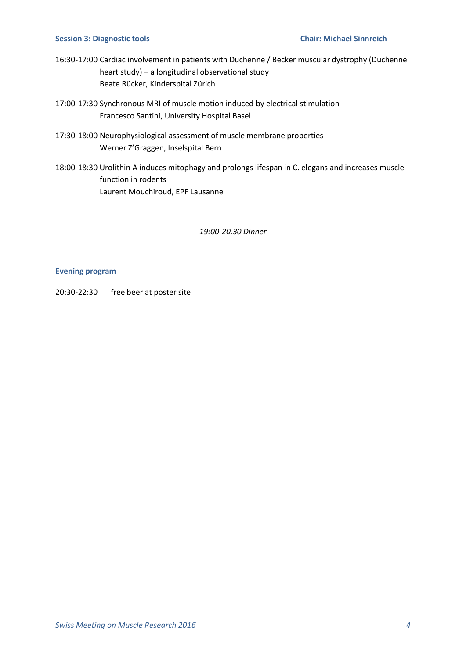- 16:30-17:00 Cardiac involvement in patients with Duchenne / Becker muscular dystrophy (Duchenne heart study) – a longitudinal observational study Beate Rücker, Kinderspital Zürich
- 17:00-17:30 Synchronous MRI of muscle motion induced by electrical stimulation Francesco Santini, University Hospital Basel
- 17:30-18:00 Neurophysiological assessment of muscle membrane properties Werner Z'Graggen, Inselspital Bern
- 18:00-18:30 Urolithin A induces mitophagy and prolongs lifespan in C. elegans and increases muscle function in rodents Laurent Mouchiroud, EPF Lausanne

*19:00-20.30 Dinner*

#### **Evening program**

20:30-22:30 free beer at poster site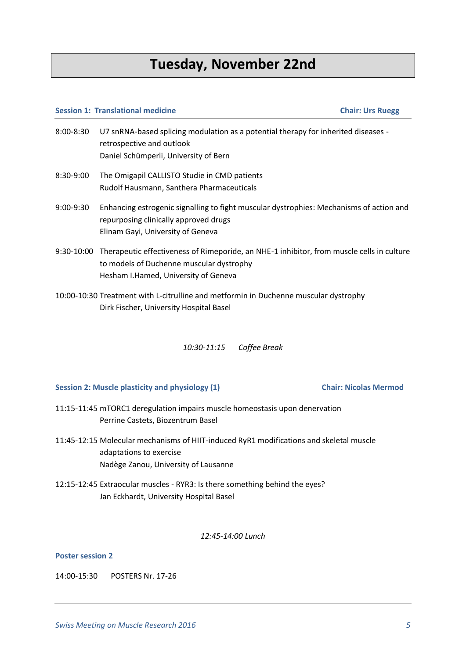# **Tuesday, November 22nd**

#### **Session 1: Translational medicine Chair: Urs Ruegg**

- 8:00-8:30 U7 snRNA-based splicing modulation as a potential therapy for inherited diseases retrospective and outlook Daniel Schümperli, University of Bern
- 8:30-9:00 The Omigapil CALLISTO Studie in CMD patients Rudolf Hausmann, Santhera Pharmaceuticals
- 9:00-9:30 Enhancing estrogenic signalling to fight muscular dystrophies: Mechanisms of action and repurposing clinically approved drugs Elinam Gayi, University of Geneva
- 9:30-10:00 Therapeutic effectiveness of Rimeporide, an NHE-1 inhibitor, from muscle cells in culture to models of Duchenne muscular dystrophy Hesham I.Hamed, University of Geneva
- 10:00-10:30 Treatment with L-citrulline and metformin in Duchenne muscular dystrophy Dirk Fischer, University Hospital Basel

*10:30-11:15 Coffee Break*

**Session 2: Muscle plasticity and physiology (1) Chair: Nicolas Mermod**

- 11:15-11:45 mTORC1 deregulation impairs muscle homeostasis upon denervation Perrine Castets, Biozentrum Basel
- 11:45-12:15 Molecular mechanisms of HIIT-induced RyR1 modifications and skeletal muscle adaptations to exercise Nadège Zanou, University of Lausanne
- 12:15-12:45 Extraocular muscles RYR3: Is there something behind the eyes? Jan Eckhardt, University Hospital Basel

*12:45-14:00 Lunch*

### **Poster session 2**

14:00-15:30 POSTERS Nr. 17-26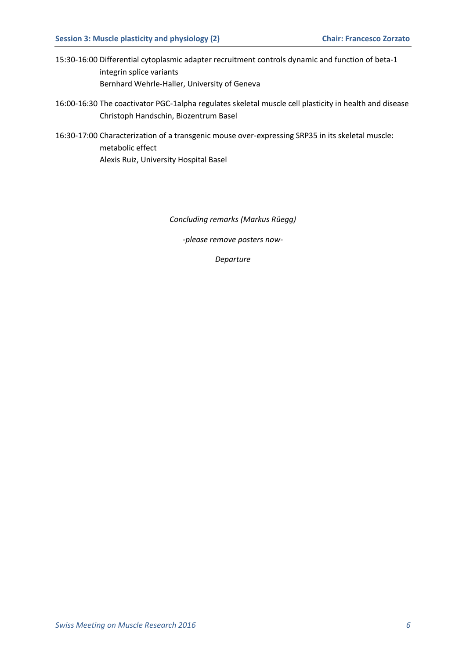- 15:30-16:00 Differential cytoplasmic adapter recruitment controls dynamic and function of beta-1 integrin splice variants Bernhard Wehrle-Haller, University of Geneva
- 16:00-16:30 The coactivator PGC-1alpha regulates skeletal muscle cell plasticity in health and disease Christoph Handschin, Biozentrum Basel
- 16:30-17:00 Characterization of a transgenic mouse over-expressing SRP35 in its skeletal muscle: metabolic effect Alexis Ruiz, University Hospital Basel

*Concluding remarks (Markus Rüegg)*

*-please remove posters now-*

*Departure*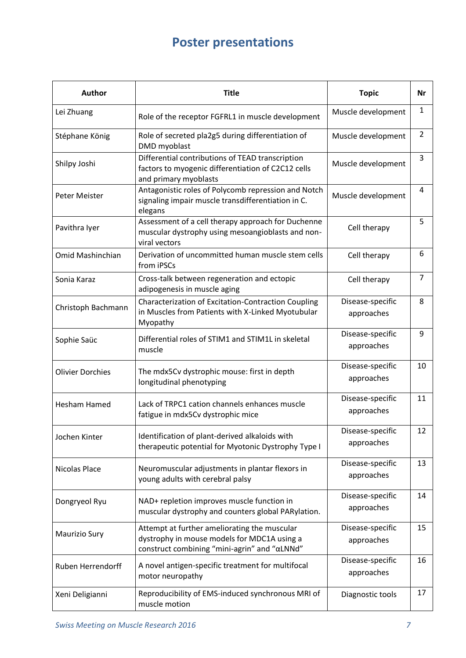# **Poster presentations**

| <b>Author</b>           | <b>Title</b>                                                                                                                                | <b>Topic</b>                   | Nr             |
|-------------------------|---------------------------------------------------------------------------------------------------------------------------------------------|--------------------------------|----------------|
| Lei Zhuang              | Role of the receptor FGFRL1 in muscle development                                                                                           | Muscle development             | 1              |
| Stéphane König          | Role of secreted pla2g5 during differentiation of<br>DMD myoblast                                                                           | Muscle development             | $\overline{2}$ |
| Shilpy Joshi            | Differential contributions of TEAD transcription<br>factors to myogenic differentiation of C2C12 cells<br>and primary myoblasts             | Muscle development             | 3              |
| Peter Meister           | Antagonistic roles of Polycomb repression and Notch<br>signaling impair muscle transdifferentiation in C.<br>elegans                        | Muscle development             | 4              |
| Pavithra lyer           | Assessment of a cell therapy approach for Duchenne<br>muscular dystrophy using mesoangioblasts and non-<br>viral vectors                    | Cell therapy                   | 5              |
| Omid Mashinchian        | Derivation of uncommitted human muscle stem cells<br>from iPSCs                                                                             | Cell therapy                   | 6              |
| Sonia Karaz             | Cross-talk between regeneration and ectopic<br>adipogenesis in muscle aging                                                                 | Cell therapy                   | $\overline{7}$ |
| Christoph Bachmann      | Characterization of Excitation-Contraction Coupling<br>in Muscles from Patients with X-Linked Myotubular<br>Myopathy                        | Disease-specific<br>approaches | 8              |
| Sophie Saüc             | Differential roles of STIM1 and STIM1L in skeletal<br>muscle                                                                                | Disease-specific<br>approaches | 9              |
| <b>Olivier Dorchies</b> | The mdx5Cv dystrophic mouse: first in depth<br>longitudinal phenotyping                                                                     | Disease-specific<br>approaches | 10             |
| <b>Hesham Hamed</b>     | Lack of TRPC1 cation channels enhances muscle<br>fatigue in mdx5Cv dystrophic mice                                                          | Disease-specific<br>approaches | 11             |
| Jochen Kinter           | Identification of plant-derived alkaloids with<br>therapeutic potential for Myotonic Dystrophy Type I                                       | Disease-specific<br>approaches | 12             |
| Nicolas Place           | Neuromuscular adjustments in plantar flexors in<br>young adults with cerebral palsy                                                         | Disease-specific<br>approaches | 13             |
| Dongryeol Ryu           | NAD+ repletion improves muscle function in<br>muscular dystrophy and counters global PARylation.                                            | Disease-specific<br>approaches | 14             |
| Maurizio Sury           | Attempt at further ameliorating the muscular<br>dystrophy in mouse models for MDC1A using a<br>construct combining "mini-agrin" and "aLNNd" | Disease-specific<br>approaches | 15             |
| Ruben Herrendorff       | A novel antigen-specific treatment for multifocal<br>motor neuropathy                                                                       | Disease-specific<br>approaches | 16             |
| Xeni Deligianni         | Reproducibility of EMS-induced synchronous MRI of<br>muscle motion                                                                          | Diagnostic tools               | 17             |